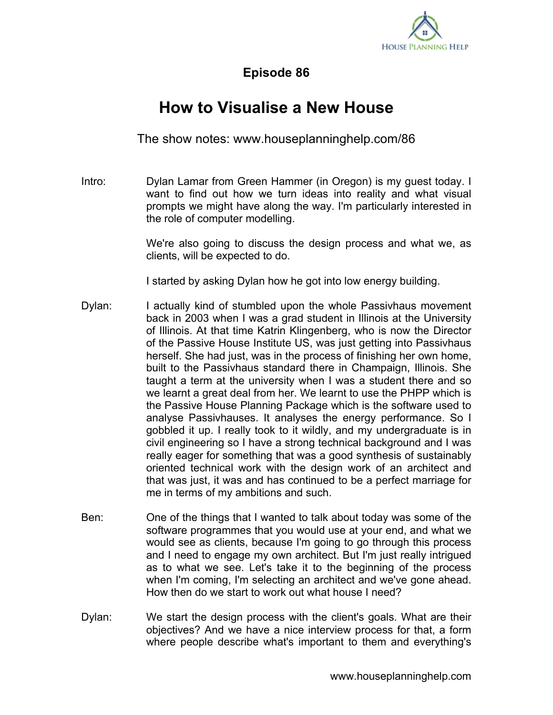

## **Episode 86**

## **How to Visualise a New House**

The show notes: www.houseplanninghelp.com/86

Intro: Dylan Lamar from Green Hammer (in Oregon) is my guest today. I want to find out how we turn ideas into reality and what visual prompts we might have along the way. I'm particularly interested in the role of computer modelling.

> We're also going to discuss the design process and what we, as clients, will be expected to do.

I started by asking Dylan how he got into low energy building.

- Dylan: I actually kind of stumbled upon the whole Passivhaus movement back in 2003 when I was a grad student in Illinois at the University of Illinois. At that time Katrin Klingenberg, who is now the Director of the Passive House Institute US, was just getting into Passivhaus herself. She had just, was in the process of finishing her own home, built to the Passivhaus standard there in Champaign, Illinois. She taught a term at the university when I was a student there and so we learnt a great deal from her. We learnt to use the PHPP which is the Passive House Planning Package which is the software used to analyse Passivhauses. It analyses the energy performance. So I gobbled it up. I really took to it wildly, and my undergraduate is in civil engineering so I have a strong technical background and I was really eager for something that was a good synthesis of sustainably oriented technical work with the design work of an architect and that was just, it was and has continued to be a perfect marriage for me in terms of my ambitions and such.
- Ben: One of the things that I wanted to talk about today was some of the software programmes that you would use at your end, and what we would see as clients, because I'm going to go through this process and I need to engage my own architect. But I'm just really intrigued as to what we see. Let's take it to the beginning of the process when I'm coming, I'm selecting an architect and we've gone ahead. How then do we start to work out what house I need?
- Dylan: We start the design process with the client's goals. What are their objectives? And we have a nice interview process for that, a form where people describe what's important to them and everything's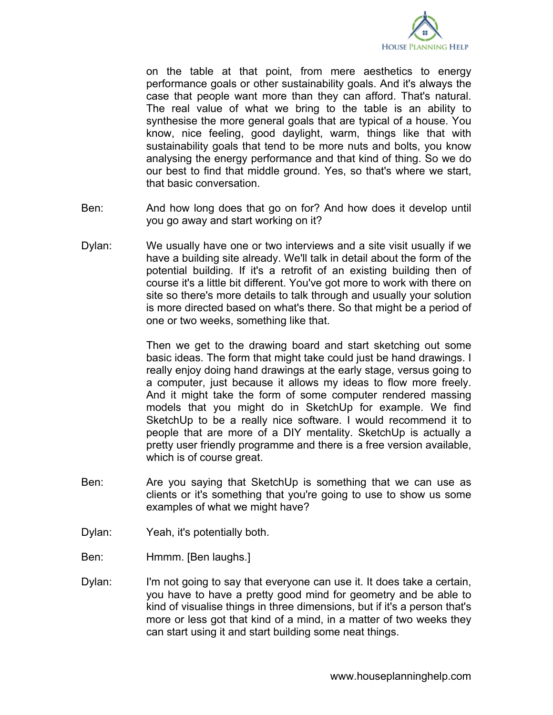

on the table at that point, from mere aesthetics to energy performance goals or other sustainability goals. And it's always the case that people want more than they can afford. That's natural. The real value of what we bring to the table is an ability to synthesise the more general goals that are typical of a house. You know, nice feeling, good daylight, warm, things like that with sustainability goals that tend to be more nuts and bolts, you know analysing the energy performance and that kind of thing. So we do our best to find that middle ground. Yes, so that's where we start, that basic conversation.

- Ben: And how long does that go on for? And how does it develop until you go away and start working on it?
- Dylan: We usually have one or two interviews and a site visit usually if we have a building site already. We'll talk in detail about the form of the potential building. If it's a retrofit of an existing building then of course it's a little bit different. You've got more to work with there on site so there's more details to talk through and usually your solution is more directed based on what's there. So that might be a period of one or two weeks, something like that.

Then we get to the drawing board and start sketching out some basic ideas. The form that might take could just be hand drawings. I really enjoy doing hand drawings at the early stage, versus going to a computer, just because it allows my ideas to flow more freely. And it might take the form of some computer rendered massing models that you might do in SketchUp for example. We find SketchUp to be a really nice software. I would recommend it to people that are more of a DIY mentality. SketchUp is actually a pretty user friendly programme and there is a free version available, which is of course great.

- Ben: Are you saying that SketchUp is something that we can use as clients or it's something that you're going to use to show us some examples of what we might have?
- Dylan: Yeah, it's potentially both.
- Ben: Hmmm. [Ben laughs.]
- Dylan: I'm not going to say that everyone can use it. It does take a certain, you have to have a pretty good mind for geometry and be able to kind of visualise things in three dimensions, but if it's a person that's more or less got that kind of a mind, in a matter of two weeks they can start using it and start building some neat things.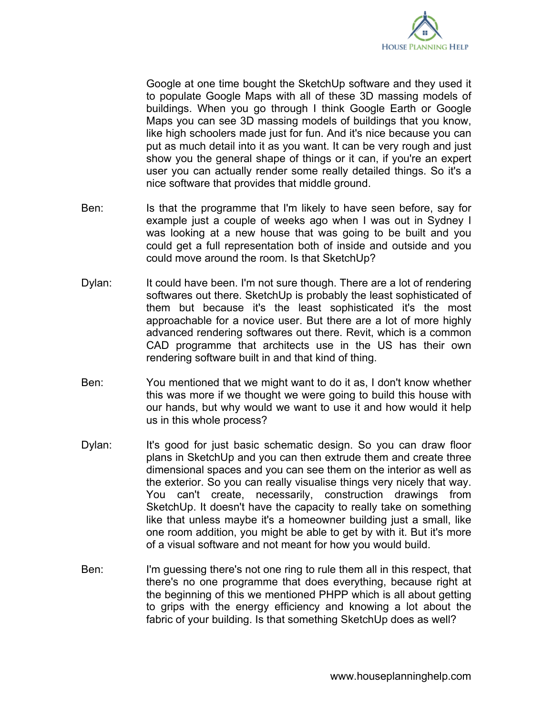

Google at one time bought the SketchUp software and they used it to populate Google Maps with all of these 3D massing models of buildings. When you go through I think Google Earth or Google Maps you can see 3D massing models of buildings that you know, like high schoolers made just for fun. And it's nice because you can put as much detail into it as you want. It can be very rough and just show you the general shape of things or it can, if you're an expert user you can actually render some really detailed things. So it's a nice software that provides that middle ground.

- Ben: Is that the programme that I'm likely to have seen before, say for example just a couple of weeks ago when I was out in Sydney I was looking at a new house that was going to be built and you could get a full representation both of inside and outside and you could move around the room. Is that SketchUp?
- Dylan: It could have been. I'm not sure though. There are a lot of rendering softwares out there. SketchUp is probably the least sophisticated of them but because it's the least sophisticated it's the most approachable for a novice user. But there are a lot of more highly advanced rendering softwares out there. Revit, which is a common CAD programme that architects use in the US has their own rendering software built in and that kind of thing.
- Ben: You mentioned that we might want to do it as, I don't know whether this was more if we thought we were going to build this house with our hands, but why would we want to use it and how would it help us in this whole process?
- Dylan: It's good for just basic schematic design. So you can draw floor plans in SketchUp and you can then extrude them and create three dimensional spaces and you can see them on the interior as well as the exterior. So you can really visualise things very nicely that way. You can't create, necessarily, construction drawings from SketchUp. It doesn't have the capacity to really take on something like that unless maybe it's a homeowner building just a small, like one room addition, you might be able to get by with it. But it's more of a visual software and not meant for how you would build.
- Ben: I'm guessing there's not one ring to rule them all in this respect, that there's no one programme that does everything, because right at the beginning of this we mentioned PHPP which is all about getting to grips with the energy efficiency and knowing a lot about the fabric of your building. Is that something SketchUp does as well?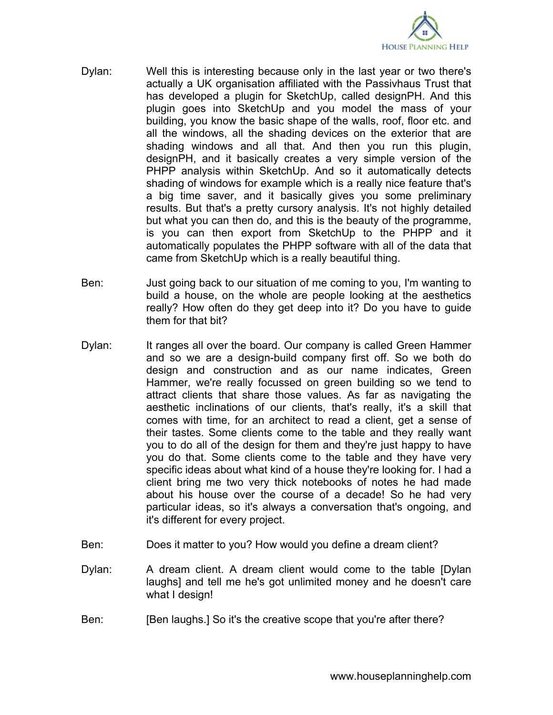

- Dylan: Well this is interesting because only in the last year or two there's actually a UK organisation affiliated with the Passivhaus Trust that has developed a plugin for SketchUp, called designPH. And this plugin goes into SketchUp and you model the mass of your building, you know the basic shape of the walls, roof, floor etc. and all the windows, all the shading devices on the exterior that are shading windows and all that. And then you run this plugin, designPH, and it basically creates a very simple version of the PHPP analysis within SketchUp. And so it automatically detects shading of windows for example which is a really nice feature that's a big time saver, and it basically gives you some preliminary results. But that's a pretty cursory analysis. It's not highly detailed but what you can then do, and this is the beauty of the programme, is you can then export from SketchUp to the PHPP and it automatically populates the PHPP software with all of the data that came from SketchUp which is a really beautiful thing.
- Ben: Just going back to our situation of me coming to you, I'm wanting to build a house, on the whole are people looking at the aesthetics really? How often do they get deep into it? Do you have to guide them for that bit?
- Dylan: It ranges all over the board. Our company is called Green Hammer and so we are a design-build company first off. So we both do design and construction and as our name indicates, Green Hammer, we're really focussed on green building so we tend to attract clients that share those values. As far as navigating the aesthetic inclinations of our clients, that's really, it's a skill that comes with time, for an architect to read a client, get a sense of their tastes. Some clients come to the table and they really want you to do all of the design for them and they're just happy to have you do that. Some clients come to the table and they have very specific ideas about what kind of a house they're looking for. I had a client bring me two very thick notebooks of notes he had made about his house over the course of a decade! So he had very particular ideas, so it's always a conversation that's ongoing, and it's different for every project.
- Ben: Does it matter to you? How would you define a dream client?
- Dylan: A dream client. A dream client would come to the table [Dylan laughs] and tell me he's got unlimited money and he doesn't care what I design!
- Ben: [Ben laughs.] So it's the creative scope that you're after there?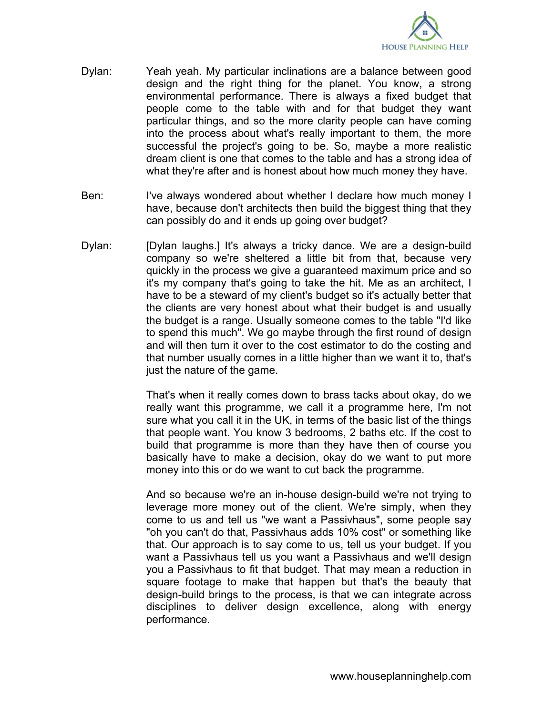

- Dylan: Yeah yeah. My particular inclinations are a balance between good design and the right thing for the planet. You know, a strong environmental performance. There is always a fixed budget that people come to the table with and for that budget they want particular things, and so the more clarity people can have coming into the process about what's really important to them, the more successful the project's going to be. So, maybe a more realistic dream client is one that comes to the table and has a strong idea of what they're after and is honest about how much money they have.
- Ben: I've always wondered about whether I declare how much money I have, because don't architects then build the biggest thing that they can possibly do and it ends up going over budget?
- Dylan: [Dylan laughs.] It's always a tricky dance. We are a design-build company so we're sheltered a little bit from that, because very quickly in the process we give a guaranteed maximum price and so it's my company that's going to take the hit. Me as an architect, I have to be a steward of my client's budget so it's actually better that the clients are very honest about what their budget is and usually the budget is a range. Usually someone comes to the table "I'd like to spend this much". We go maybe through the first round of design and will then turn it over to the cost estimator to do the costing and that number usually comes in a little higher than we want it to, that's just the nature of the game.

That's when it really comes down to brass tacks about okay, do we really want this programme, we call it a programme here, I'm not sure what you call it in the UK, in terms of the basic list of the things that people want. You know 3 bedrooms, 2 baths etc. If the cost to build that programme is more than they have then of course you basically have to make a decision, okay do we want to put more money into this or do we want to cut back the programme.

And so because we're an in-house design-build we're not trying to leverage more money out of the client. We're simply, when they come to us and tell us "we want a Passivhaus", some people say "oh you can't do that, Passivhaus adds 10% cost" or something like that. Our approach is to say come to us, tell us your budget. If you want a Passivhaus tell us you want a Passivhaus and we'll design you a Passivhaus to fit that budget. That may mean a reduction in square footage to make that happen but that's the beauty that design-build brings to the process, is that we can integrate across disciplines to deliver design excellence, along with energy performance.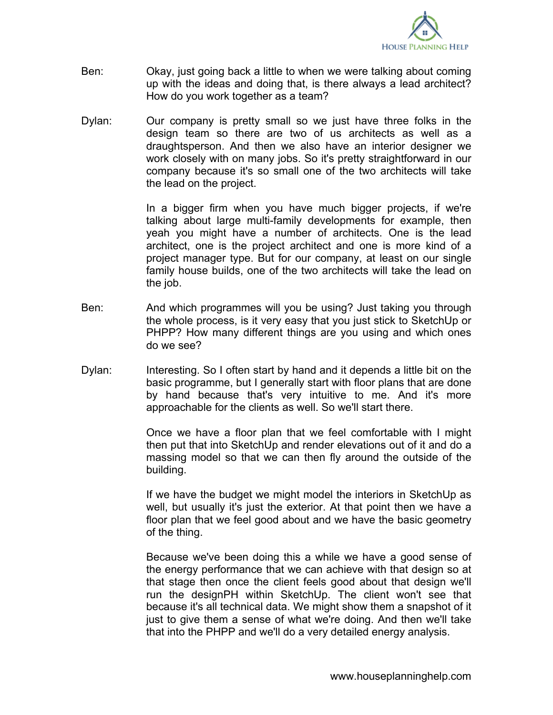

- Ben: Okay, just going back a little to when we were talking about coming up with the ideas and doing that, is there always a lead architect? How do you work together as a team?
- Dylan: Our company is pretty small so we just have three folks in the design team so there are two of us architects as well as a draughtsperson. And then we also have an interior designer we work closely with on many jobs. So it's pretty straightforward in our company because it's so small one of the two architects will take the lead on the project.

In a bigger firm when you have much bigger projects, if we're talking about large multi-family developments for example, then yeah you might have a number of architects. One is the lead architect, one is the project architect and one is more kind of a project manager type. But for our company, at least on our single family house builds, one of the two architects will take the lead on the job.

- Ben: And which programmes will you be using? Just taking you through the whole process, is it very easy that you just stick to SketchUp or PHPP? How many different things are you using and which ones do we see?
- Dylan: Interesting. So I often start by hand and it depends a little bit on the basic programme, but I generally start with floor plans that are done by hand because that's very intuitive to me. And it's more approachable for the clients as well. So we'll start there.

Once we have a floor plan that we feel comfortable with I might then put that into SketchUp and render elevations out of it and do a massing model so that we can then fly around the outside of the building.

If we have the budget we might model the interiors in SketchUp as well, but usually it's just the exterior. At that point then we have a floor plan that we feel good about and we have the basic geometry of the thing.

Because we've been doing this a while we have a good sense of the energy performance that we can achieve with that design so at that stage then once the client feels good about that design we'll run the designPH within SketchUp. The client won't see that because it's all technical data. We might show them a snapshot of it just to give them a sense of what we're doing. And then we'll take that into the PHPP and we'll do a very detailed energy analysis.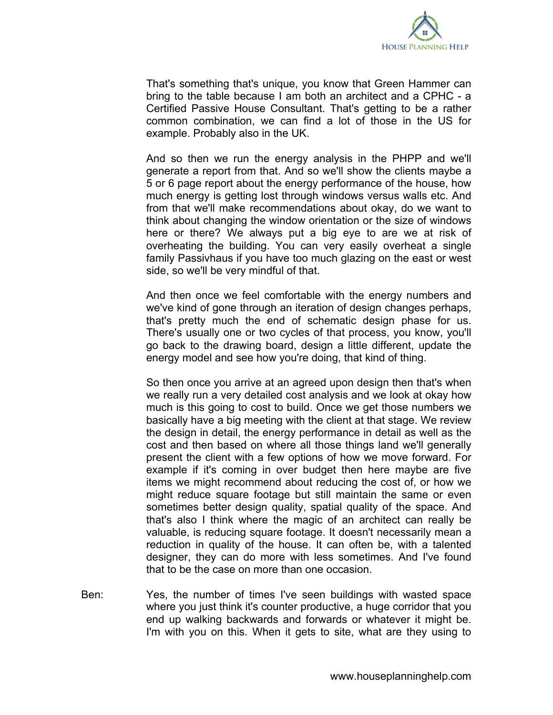

That's something that's unique, you know that Green Hammer can bring to the table because I am both an architect and a CPHC - a Certified Passive House Consultant. That's getting to be a rather common combination, we can find a lot of those in the US for example. Probably also in the UK.

And so then we run the energy analysis in the PHPP and we'll generate a report from that. And so we'll show the clients maybe a 5 or 6 page report about the energy performance of the house, how much energy is getting lost through windows versus walls etc. And from that we'll make recommendations about okay, do we want to think about changing the window orientation or the size of windows here or there? We always put a big eye to are we at risk of overheating the building. You can very easily overheat a single family Passivhaus if you have too much glazing on the east or west side, so we'll be very mindful of that.

And then once we feel comfortable with the energy numbers and we've kind of gone through an iteration of design changes perhaps, that's pretty much the end of schematic design phase for us. There's usually one or two cycles of that process, you know, you'll go back to the drawing board, design a little different, update the energy model and see how you're doing, that kind of thing.

So then once you arrive at an agreed upon design then that's when we really run a very detailed cost analysis and we look at okay how much is this going to cost to build. Once we get those numbers we basically have a big meeting with the client at that stage. We review the design in detail, the energy performance in detail as well as the cost and then based on where all those things land we'll generally present the client with a few options of how we move forward. For example if it's coming in over budget then here maybe are five items we might recommend about reducing the cost of, or how we might reduce square footage but still maintain the same or even sometimes better design quality, spatial quality of the space. And that's also I think where the magic of an architect can really be valuable, is reducing square footage. It doesn't necessarily mean a reduction in quality of the house. It can often be, with a talented designer, they can do more with less sometimes. And I've found that to be the case on more than one occasion.

Ben: Yes, the number of times I've seen buildings with wasted space where you just think it's counter productive, a huge corridor that you end up walking backwards and forwards or whatever it might be. I'm with you on this. When it gets to site, what are they using to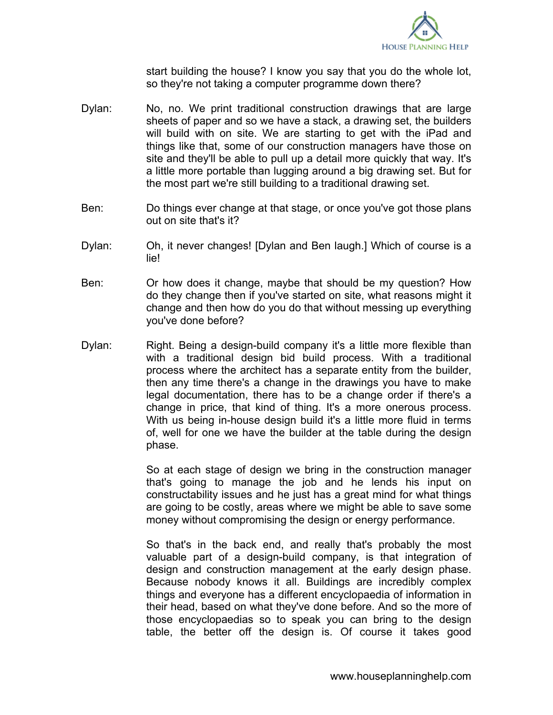

start building the house? I know you say that you do the whole lot, so they're not taking a computer programme down there?

- Dylan: No, no. We print traditional construction drawings that are large sheets of paper and so we have a stack, a drawing set, the builders will build with on site. We are starting to get with the iPad and things like that, some of our construction managers have those on site and they'll be able to pull up a detail more quickly that way. It's a little more portable than lugging around a big drawing set. But for the most part we're still building to a traditional drawing set.
- Ben: Do things ever change at that stage, or once you've got those plans out on site that's it?
- Dylan: Oh, it never changes! [Dylan and Ben laugh.] Which of course is a lie!
- Ben: Or how does it change, maybe that should be my question? How do they change then if you've started on site, what reasons might it change and then how do you do that without messing up everything you've done before?
- Dylan: Right. Being a design-build company it's a little more flexible than with a traditional design bid build process. With a traditional process where the architect has a separate entity from the builder, then any time there's a change in the drawings you have to make legal documentation, there has to be a change order if there's a change in price, that kind of thing. It's a more onerous process. With us being in-house design build it's a little more fluid in terms of, well for one we have the builder at the table during the design phase.

So at each stage of design we bring in the construction manager that's going to manage the job and he lends his input on constructability issues and he just has a great mind for what things are going to be costly, areas where we might be able to save some money without compromising the design or energy performance.

So that's in the back end, and really that's probably the most valuable part of a design-build company, is that integration of design and construction management at the early design phase. Because nobody knows it all. Buildings are incredibly complex things and everyone has a different encyclopaedia of information in their head, based on what they've done before. And so the more of those encyclopaedias so to speak you can bring to the design table, the better off the design is. Of course it takes good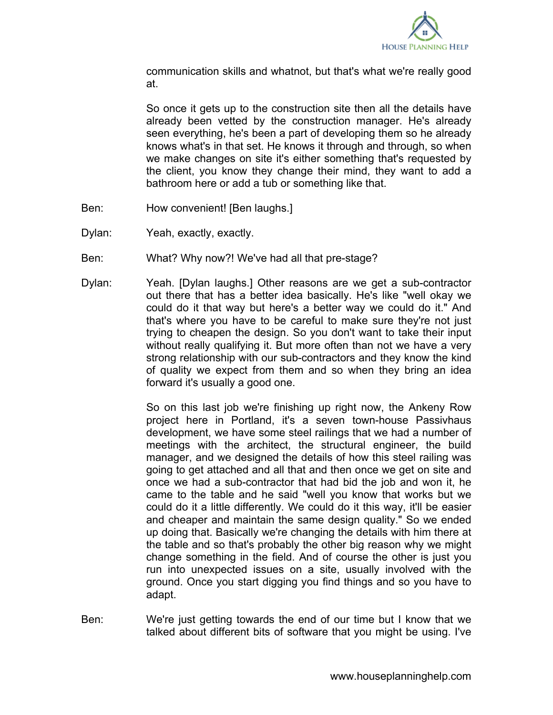

communication skills and whatnot, but that's what we're really good at.

So once it gets up to the construction site then all the details have already been vetted by the construction manager. He's already seen everything, he's been a part of developing them so he already knows what's in that set. He knows it through and through, so when we make changes on site it's either something that's requested by the client, you know they change their mind, they want to add a bathroom here or add a tub or something like that.

- Ben: How convenient! [Ben laughs.]
- Dylan: Yeah, exactly, exactly.
- Ben: What? Why now?! We've had all that pre-stage?
- Dylan: Yeah. [Dylan laughs.] Other reasons are we get a sub-contractor out there that has a better idea basically. He's like "well okay we could do it that way but here's a better way we could do it." And that's where you have to be careful to make sure they're not just trying to cheapen the design. So you don't want to take their input without really qualifying it. But more often than not we have a very strong relationship with our sub-contractors and they know the kind of quality we expect from them and so when they bring an idea forward it's usually a good one.

So on this last job we're finishing up right now, the Ankeny Row project here in Portland, it's a seven town-house Passivhaus development, we have some steel railings that we had a number of meetings with the architect, the structural engineer, the build manager, and we designed the details of how this steel railing was going to get attached and all that and then once we get on site and once we had a sub-contractor that had bid the job and won it, he came to the table and he said "well you know that works but we could do it a little differently. We could do it this way, it'll be easier and cheaper and maintain the same design quality." So we ended up doing that. Basically we're changing the details with him there at the table and so that's probably the other big reason why we might change something in the field. And of course the other is just you run into unexpected issues on a site, usually involved with the ground. Once you start digging you find things and so you have to adapt.

Ben: We're just getting towards the end of our time but I know that we talked about different bits of software that you might be using. I've